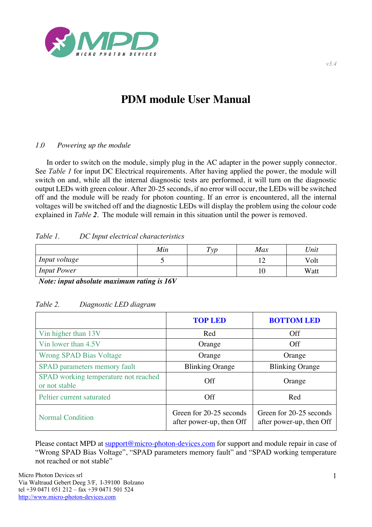

# **PDM module User Manual**

## *1.0 Powering up the module*

In order to switch on the module, simply plug in the AC adapter in the power supply connector. See *Table 1* for input DC Electrical requirements. After having applied the power, the module will switch on and, while all the internal diagnostic tests are performed, it will turn on the diagnostic output LEDs with green colour. After 20-25 seconds, if no error will occur, the LEDs will be switched off and the module will be ready for photon counting. If an error is encountered, all the internal voltages will be switched off and the diagnostic LEDs will display the problem using the colour code explained in *Table 2*. The module will remain in this situation until the power is removed.

## *Table 1. DC Input electrical characteristics*

|                    | Min | Type | Max | Unit |
|--------------------|-----|------|-----|------|
| Input voltage      |     |      | ∸   | Volt |
| <b>Input Power</b> |     |      | 10  | Watt |

*Note: input absolute maximum rating is 16V*

## *Table 2. Diagnostic LED diagram*

|                                                       | <b>TOP LED</b>                                      | <b>BOTTOM LED</b>                                   |
|-------------------------------------------------------|-----------------------------------------------------|-----------------------------------------------------|
| Vin higher than 13V                                   | Red                                                 | <b>Off</b>                                          |
| Vin lower than 4.5V                                   | Orange                                              | <b>Off</b>                                          |
| <b>Wrong SPAD Bias Voltage</b>                        | Orange                                              | Orange                                              |
| SPAD parameters memory fault                          | <b>Blinking Orange</b>                              | <b>Blinking Orange</b>                              |
| SPAD working temperature not reached<br>or not stable | Off                                                 | Orange                                              |
| Peltier current saturated                             | Off                                                 | Red                                                 |
| <b>Normal Condition</b>                               | Green for 20-25 seconds<br>after power-up, then Off | Green for 20-25 seconds<br>after power-up, then Off |

Please contact MPD at support@micro-photon-devices.com for support and module repair in case of "Wrong SPAD Bias Voltage", "SPAD parameters memory fault" and "SPAD working temperature not reached or not stable"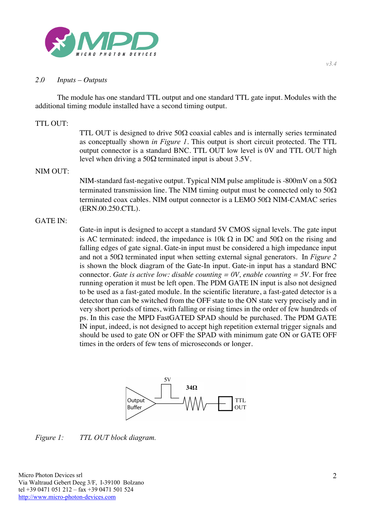

### *2.0 Inputs – Outputs*

The module has one standard TTL output and one standard TTL gate input. Modules with the additional timing module installed have a second timing output.

#### TTL OUT:

TTL OUT is designed to drive  $50\Omega$  coaxial cables and is internally series terminated as conceptually shown *in Figure 1*. This output is short circuit protected. The TTL output connector is a standard BNC. TTL OUT low level is 0V and TTL OUT high level when driving a  $50\Omega$  terminated input is about 3.5V.

#### NIM OUT:

NIM-standard fast-negative output. Typical NIM pulse amplitude is -800mV on a  $50\Omega$ terminated transmission line. The NIM timing output must be connected only to  $50\Omega$ terminated coax cables. NIM output connector is a LEMO 50 $\Omega$  NIM-CAMAC series (ERN.00.250.CTL).

#### GATE IN:

Gate-in input is designed to accept a standard 5V CMOS signal levels. The gate input is AC terminated: indeed, the impedance is 10k  $\Omega$  in DC and 50 $\Omega$  on the rising and falling edges of gate signal. Gate-in input must be considered a high impedance input and not a  $50\Omega$  terminated input when setting external signal generators. In *Figure 2* is shown the block diagram of the Gate-In input. Gate-in input has a standard BNC connector. *Gate is active low: disable counting*  $= 0V$ , *enable counting*  $= 5V$ . For free running operation it must be left open. The PDM GATE IN input is also not designed to be used as a fast-gated module. In the scientific literature, a fast-gated detector is a detector than can be switched from the OFF state to the ON state very precisely and in very short periods of times, with falling or rising times in the order of few hundreds of ps. In this case the MPD FastGATED SPAD should be purchased. The PDM GATE IN input, indeed, is not designed to accept high repetition external trigger signals and should be used to gate ON or OFF the SPAD with minimum gate ON or GATE OFF times in the orders of few tens of microseconds or longer.



*Figure 1: TTL OUT block diagram.*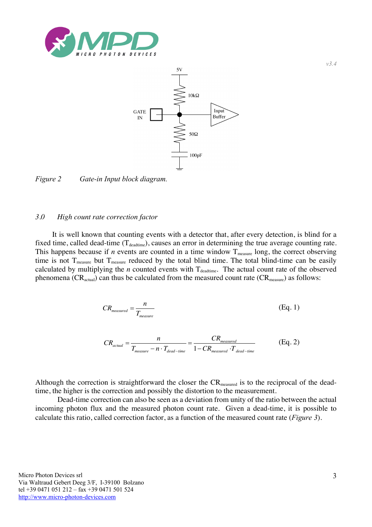



*Figure 2 Gate-in Input block diagram.*

#### *3.0 High count rate correction factor*

It is well known that counting events with a detector that, after every detection, is blind for a fixed time, called dead-time  $(T_{\text{deadtime}})$ , causes an error in determining the true average counting rate. This happens because if  $n$  events are counted in a time window  $T_{\text{measure}}$  long, the correct observing time is not  $T_{\text{measure}}$  but  $T_{\text{measure}}$  reduced by the total blind time. The total blind-time can be easily calculated by multiplying the  $n$  counted events with  $T_{\text{deadtime}}$ . The actual count rate of the observed phenomena ( $CR_{actual}$ ) can thus be calculated from the measured count rate ( $CR_{measure}$ ) as follows:

$$
CR_{measured} = \frac{n}{T_{measure}} \tag{Eq. 1}
$$

$$
CR_{actual} = \frac{n}{T_{measure} - n \cdot T_{dead-time}} = \frac{CR_{measured}}{1 - CR_{measured} \cdot T_{dead-time}}
$$
(Eq. 2)

Although the correction is straightforward the closer the CR<sub>measured</sub> is to the reciprocal of the deadtime, the higher is the correction and possibly the distortion to the measurement.

Dead-time correction can also be seen as a deviation from unity of the ratio between the actual incoming photon flux and the measured photon count rate. Given a dead-time, it is possible to calculate this ratio, called correction factor, as a function of the measured count rate (*Figure 3*).

*v3.4*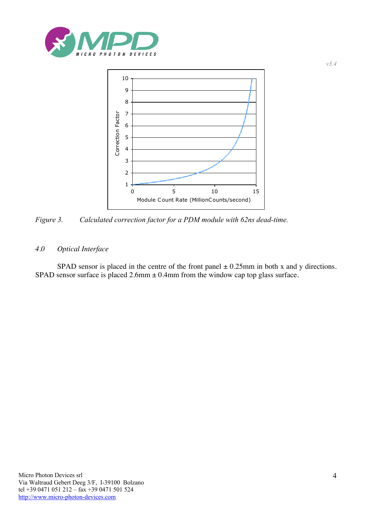



*Figure 3. Calculated correction factor for a PDM module with 62ns dead-time.*

## *4.0 Optical Interface*

SPAD sensor is placed in the centre of the front panel  $\pm$  0.25mm in both x and y directions. SPAD sensor surface is placed  $2.6$ mm  $\pm 0.4$ mm from the window cap top glass surface.

*v3.4*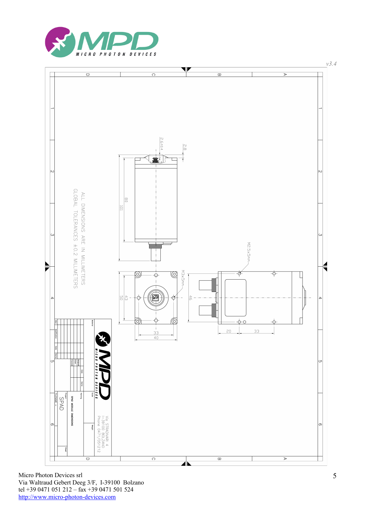



Micro Photon Devices srl Via Waltraud Gebert Deeg 3/F, I-39100 Bolzano tel +39 0471 051 212 - fax +39 0471 501 524 http://www.micro-photon-devices.com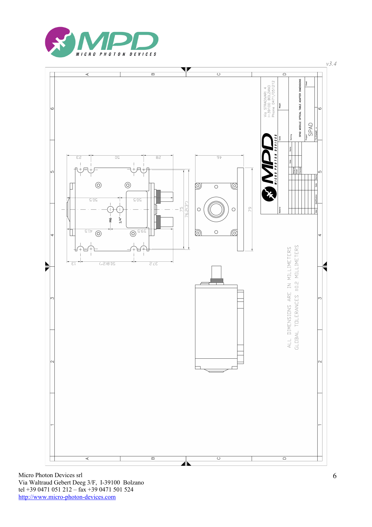



Micro Photon Devices srl Via Waltraud Gebert Deeg 3/F, I-39100 Bolzano tel +39 0471 051 212 - fax +39 0471 501 524 http://www.micro-photon-devices.com